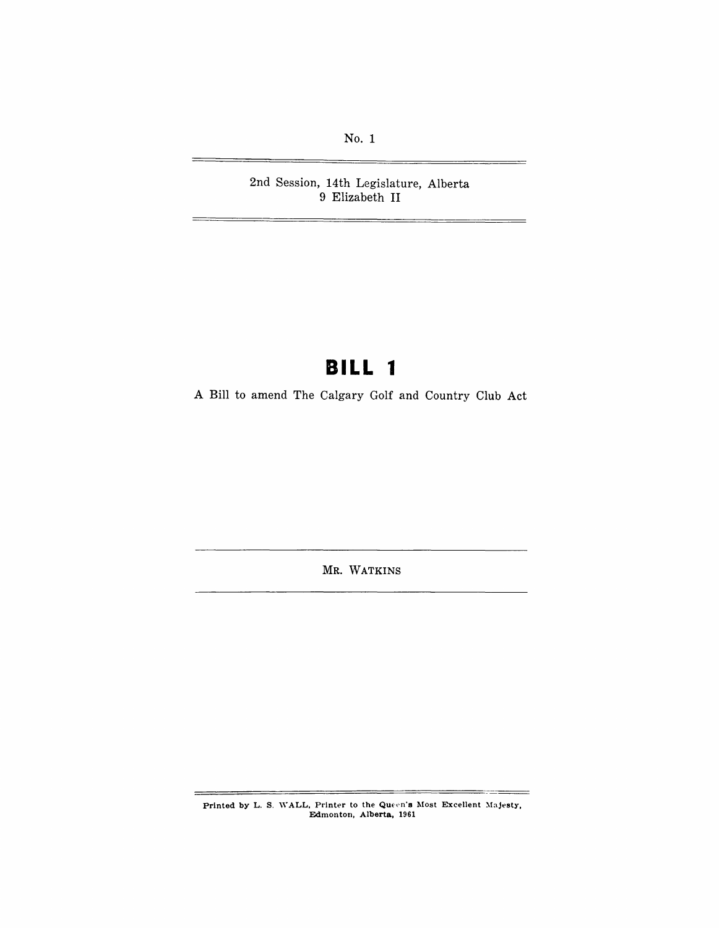No.1

2nd Session, 14th Legislature, Alberta 9 Elizabeth II

## **BILL 1**

A Bill to amend The Calgary Golf and Country Club Act

MR. WATKINS

Printed by L. S. WALL, Printer to the Queen's Most Excellent Majesty,<br>Edmonton, Alberta, 1961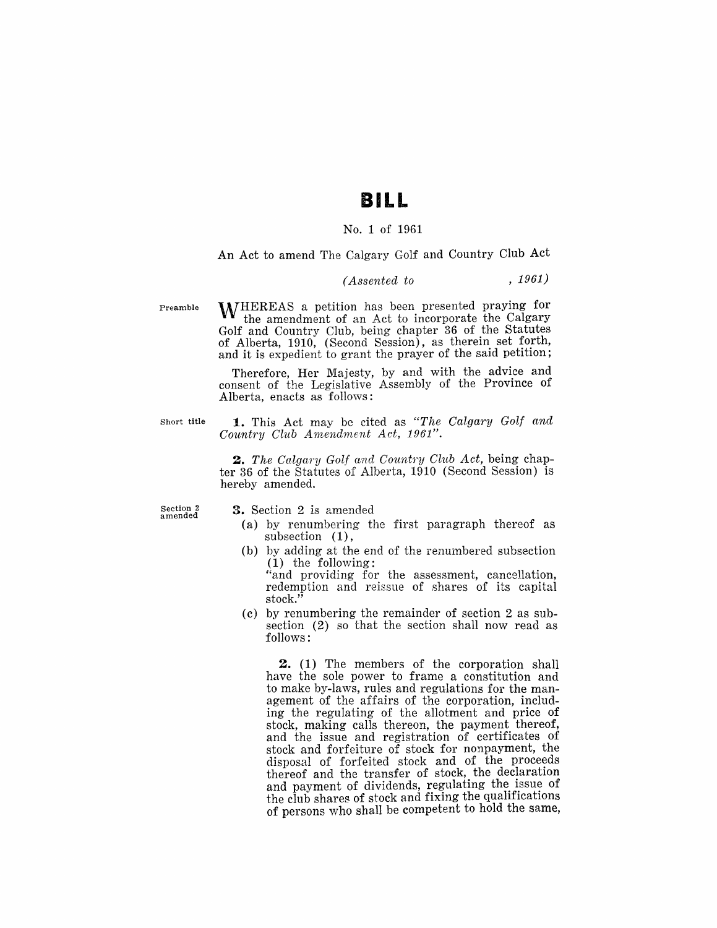### **BILL**

#### No.1 of 1961

#### An Act to amend The Calgary Golf and Country Club Act

#### *(Assented to* , 1961)

Preamble WHEREAS a petition has been presented praying for the amendment of an Act to incorporate the Calgary Golf and Country Club, being chapter 36 of the Statutes of Alberta, 1910, (Second Session), as therein set forth, and it is expedient to grant the prayer of the said petition;

> Therefore, Her Majesty, by and with the advice and consent of the Legislative Assembly of the Province of Alberta, enacts as follows:

Short title **1.** This Act may be cited as *"The Calgary Golf and Country Club Amendment Act, 1961".* 

> *2. The Calgary Golf and Courdry Club Act,* being chapter 36 of the Statutes of Alberta, 1910 (Second Session) is hereby amended.

Section 2 amended

**3.** Section 2 is amended

- (a) by renumbering the first paragraph thereof as subsection (1),
- (b) by adding at the end of the renumbered subsection (1) the following:

"and providing for the assessment, cancellation, redemption and reissue of shares of its capital stock."

(c) by renumbering the remainder of section 2 as subsection (2) so that the section shall now read as follows:

**2.** (1) The members of the corporation shall have the sole power to frame a constitution and to make by-laws, rules and regulations for the management of the affairs of the corporation, including the regulating of the allotment and price of stock, making calls thereon, the payment thereof, and the issue and registration of certificates of stock and forfeiture of stock for nonpayment, the disposal of forfeited stock and of the proceeds thereof and the transfer of stock, the declaration and payment of dividends, regulating the issue of the club shares of stock and fixing the qualifications of persons who shall be competent to hold the same,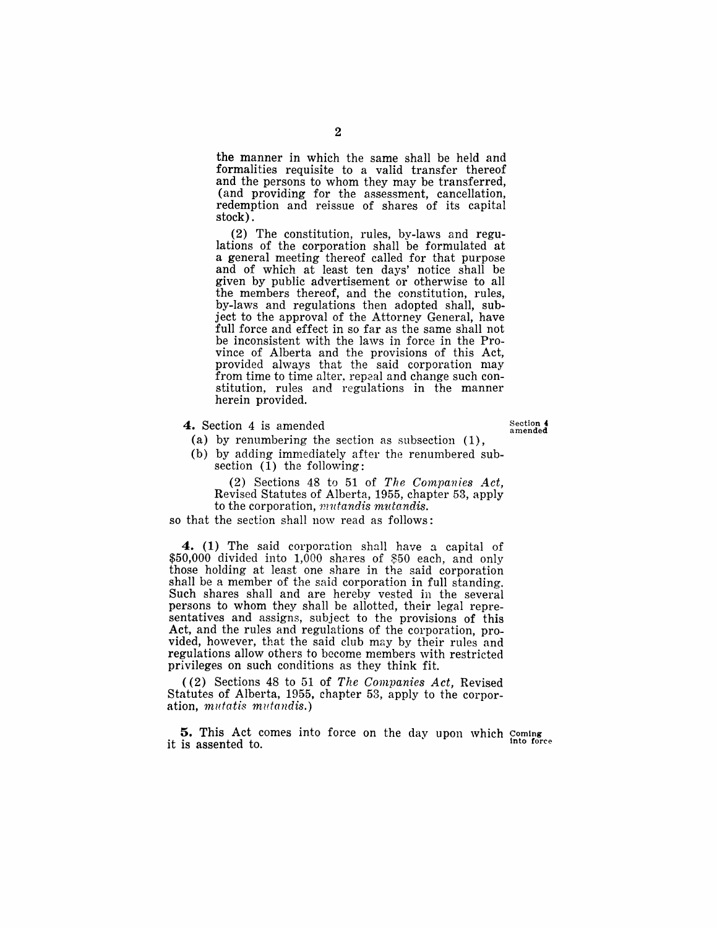the manner in which the same shall be held and formalities requisite to a valid transfer thereof and the persons to whom they may be transferred, (and providing for the assessment, cancellation, redemption and reissue of shares of its capital stock) .

(2) The constitution, rules, by-laws and regulations of the corporation shall be formulated at a general meeting thereof called for that purpose and of which at least ten days' notice shall be given by public advertisement or otherwise to all the members thereof, and the constitution, rules, by-laws and regulations then adopted shall, subject to the approval of the Attorney General, have full force and effect in so far as the same shall not be inconsistent with the laws in force in the Province of Alberta and the provisions of this Act, provided always that the said corporation may from time to time alter. repeal and change such constitution, rules and regulations in the manner herein provided.

4. Section 4 is amended

Section 4 amended

(a) by renumbering the section as subsection (1), (b) by adding immediately after the renumbered subsection  $(1)$  the following:

(2) Sections 48 to 51 of *The Companies Act,*  Revised Statutes of Alberta, 1955, chapter 53, apply to the corporation, *mutandis mutandis.* 

so that the section shall now read as follows:

4. (1) The said corporation shall have a capital of  $$50,000$  divided into  $1,000$  shares of \$50 each, and only those holding at least one share in the said corporation shall be a member of the said corporation in full standing. Such shares shall and are hereby vested in the several persons to whom they shall be allotted, their legal representatives and assigns, subject to the provisions of this Act, and the rules and regulations of the corporation, provided, however, that the said club may by their rules and regulations allow others to become members with restricted privileges on such conditions as they think fit.

«2) Sections 48 to 51 of *The Companies Act,* Revised Statutes of Alberta, 1955, chapter 53, apply to the corporation, *mutatis mutandis.)* 

5. This Act comes into force on the day upon which Coming it is assented to.